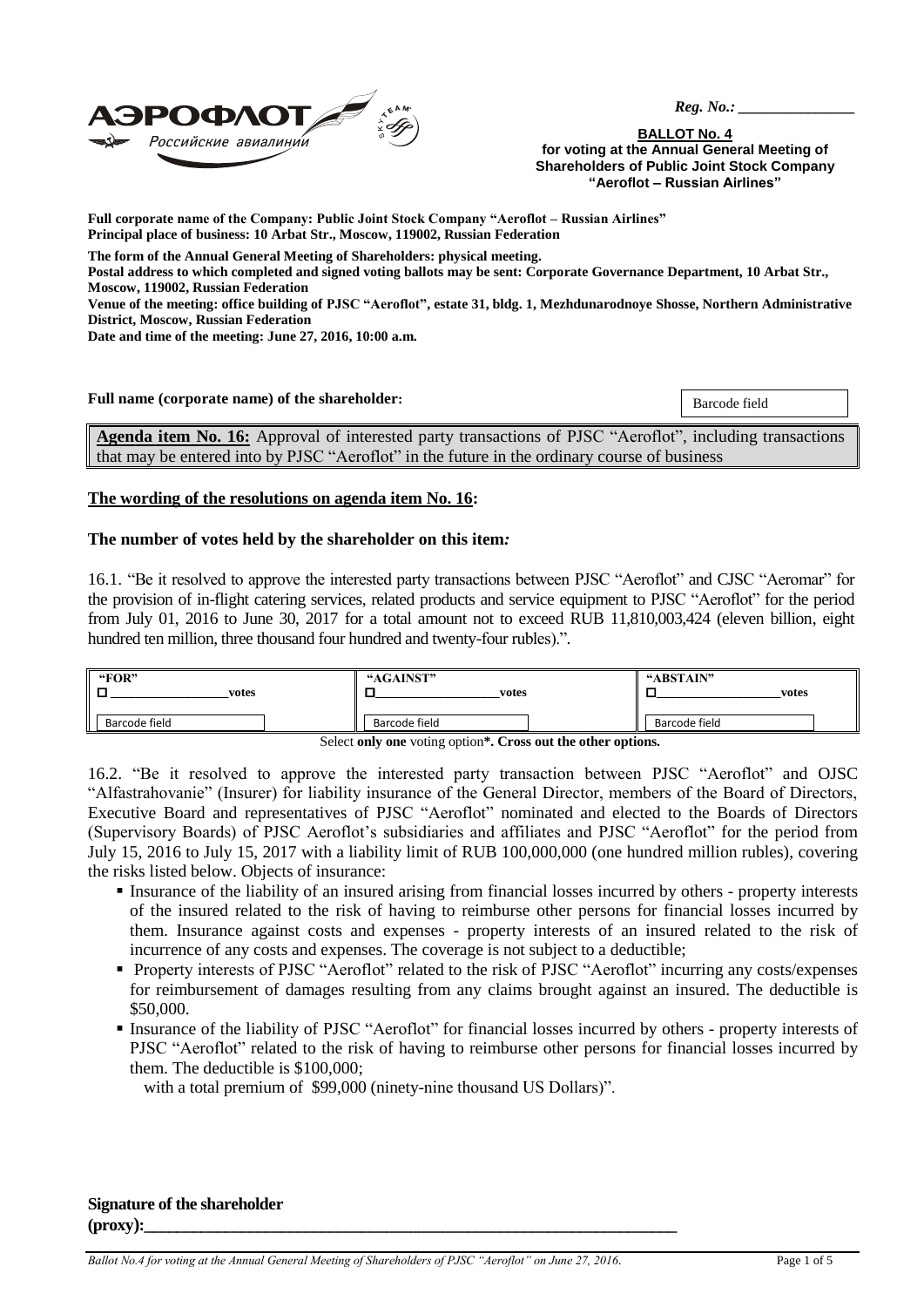

 *Reg. No.: \_\_\_\_\_\_\_\_\_\_\_\_\_\_\_*

**BALLOT No. 4 for voting at the Annual General Meeting of Shareholders of Public Joint Stock Company "Aeroflot – Russian Airlines"**

**Full corporate name of the Company: Public Joint Stock Company "Aeroflot – Russian Airlines" Principal place of business: 10 Arbat Str., Moscow, 119002, Russian Federation**

**The form of the Annual General Meeting of Shareholders: physical meeting.**

**Postal address to which completed and signed voting ballots may be sent: Corporate Governance Department, 10 Arbat Str., Moscow, 119002, Russian Federation**

**Venue of the meeting: office building of PJSC "Aeroflot", estate 31, bldg. 1, Mezhdunarodnoye Shosse, Northern Administrative District, Moscow, Russian Federation**

**Date and time of the meeting: June 27, 2016, 10:00 a.m.**

**Full name (corporate name) of the shareholder:** Barcode field

**Agenda item No. 16:** Approval of interested party transactions of PJSC "Aeroflot", including transactions that may be entered into by PJSC "Aeroflot" in the future in the ordinary course of business

## **The wording of the resolutions on agenda item No. 16:**

#### **The number of votes held by the shareholder on this item***:*

16.1. "Be it resolved to approve the interested party transactions between PJSC "Aeroflot" and CJSC "Aeromar" for the provision of in-flight catering services, related products and service equipment to PJSC "Aeroflot" for the period from July 01, 2016 to June 30, 2017 for a total amount not to exceed RUB 11,810,003,424 (eleven billion, eight hundred ten million, three thousand four hundred and twenty-four rubles).".

| "FOR"         | "AGAINST"     | "ABSTAIN"     |
|---------------|---------------|---------------|
| votes         | votes         | votes         |
| Barcode field | Barcode field | Barcode field |

Select **only one** voting option**\*. Cross out the other options.**

16.2. "Be it resolved to approve the interested party transaction between PJSC "Aeroflot" and OJSC "Alfastrahovanie" (Insurer) for liability insurance of the General Director, members of the Board of Directors, Executive Board and representatives of PJSC "Aeroflot" nominated and elected to the Boards of Directors (Supervisory Boards) of PJSC Aeroflot's subsidiaries and affiliates and PJSC "Aeroflot" for the period from July 15, 2016 to July 15, 2017 with a liability limit of RUB 100,000,000 (one hundred million rubles), covering the risks listed below. Objects of insurance:

- Insurance of the liability of an insured arising from financial losses incurred by others property interests of the insured related to the risk of having to reimburse other persons for financial losses incurred by them. Insurance against costs and expenses - property interests of an insured related to the risk of incurrence of any costs and expenses. The coverage is not subject to a deductible;
- **Property interests of PJSC "Aeroflot" related to the risk of PJSC "Aeroflot" incurring any costs/expenses** for reimbursement of damages resulting from any claims brought against an insured. The deductible is \$50,000.
- Insurance of the liability of PJSC "Aeroflot" for financial losses incurred by others property interests of PJSC "Aeroflot" related to the risk of having to reimburse other persons for financial losses incurred by them. The deductible is \$100,000;

with a total premium of \$99,000 (ninety-nine thousand US Dollars)".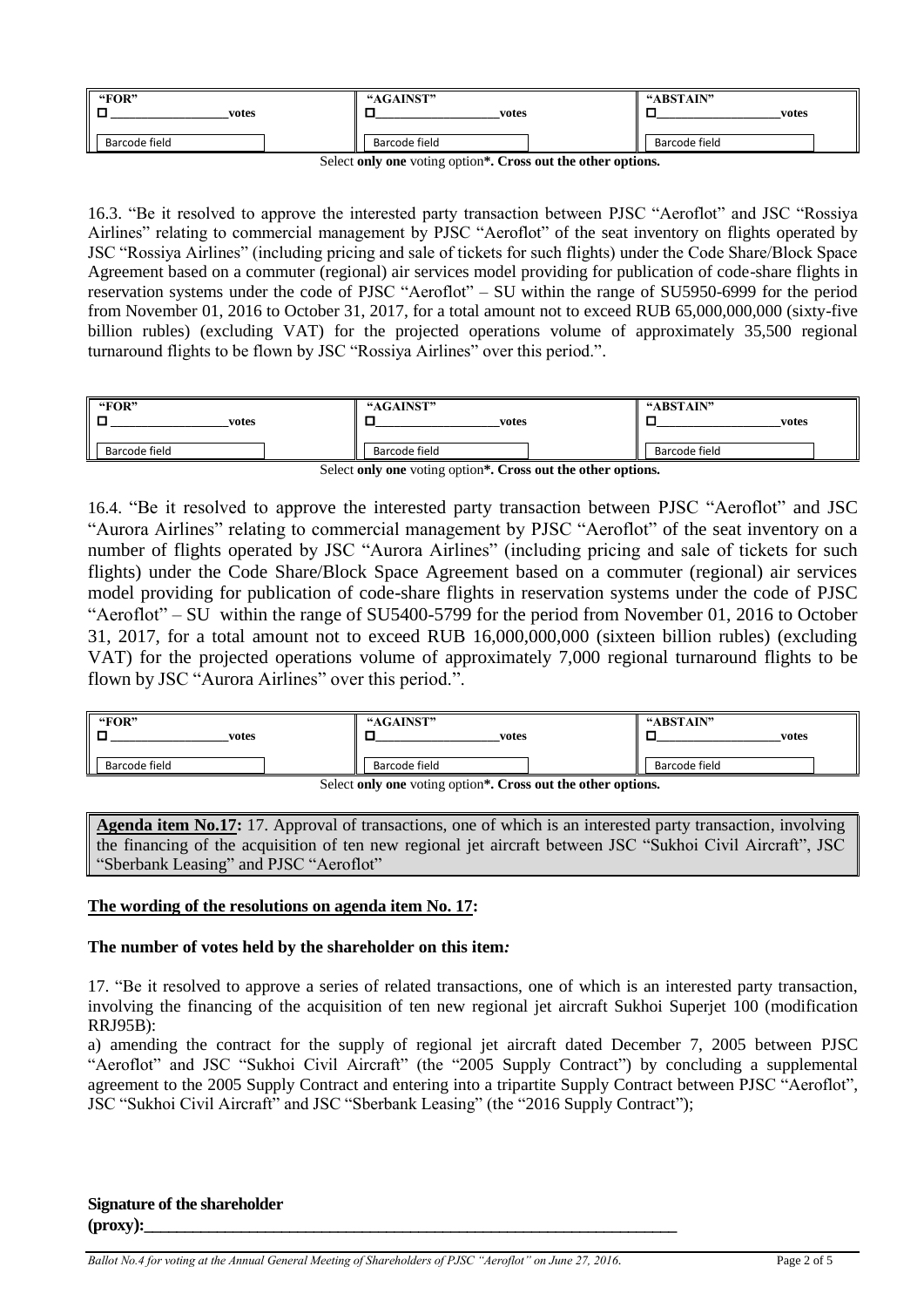| "FOR"<br>_<br>votes | "AGAINST"<br>votes | "ABSTAIN"<br>votes |
|---------------------|--------------------|--------------------|
| Barcode field       | Barcode field      | Barcode field      |

Select **only one** voting option**\*. Cross out the other options.**

16.3. "Be it resolved to approve the interested party transaction between PJSC "Aeroflot" and JSC "Rossiya Airlines" relating to commercial management by PJSC "Aeroflot" of the seat inventory on flights operated by JSC "Rossiya Airlines" (including pricing and sale of tickets for such flights) under the Code Share/Block Space Agreement based on a commuter (regional) air services model providing for publication of code-share flights in reservation systems under the code of PJSC "Aeroflot" – SU within the range of SU5950-6999 for the period from November 01, 2016 to October 31, 2017, for a total amount not to exceed RUB 65,000,000,000 (sixty-five billion rubles) (excluding VAT) for the projected operations volume of approximately 35,500 regional turnaround flights to be flown by JSC "Rossiya Airlines" over this period.".

| "FOR"         | "AGAINST"     | "ABSTAIN"     |
|---------------|---------------|---------------|
| votes         | votes         | votes         |
| Barcode field | Barcode field | Barcode field |

Select **only one** voting option**\*. Cross out the other options.**

16.4. "Be it resolved to approve the interested party transaction between PJSC "Aeroflot" and JSC "Aurora Airlines" relating to commercial management by PJSC "Aeroflot" of the seat inventory on a number of flights operated by JSC "Aurora Airlines" (including pricing and sale of tickets for such flights) under the Code Share/Block Space Agreement based on a commuter (regional) air services model providing for publication of code-share flights in reservation systems under the code of PJSC "Aeroflot" – SU within the range of SU5400-5799 for the period from November 01, 2016 to October 31, 2017, for a total amount not to exceed RUB 16,000,000,000 (sixteen billion rubles) (excluding VAT) for the projected operations volume of approximately 7,000 regional turnaround flights to be flown by JSC "Aurora Airlines" over this period.".

| "FOR"<br>votes                                                            | "AGAINST"<br>votes | "ABSTAIN"<br>votes |  |
|---------------------------------------------------------------------------|--------------------|--------------------|--|
| Barcode field                                                             | Barcode field      | Barcode field      |  |
| Select only one voting option <sup>*</sup> . Cross out the other options. |                    |                    |  |

Select **only one** voting option**\*. Cross out the other options.**

**Agenda item No.17:** 17. Approval of transactions, one of which is an interested party transaction, involving the financing of the acquisition of ten new regional jet aircraft between JSC "Sukhoi Civil Aircraft", JSC "Sberbank Leasing" and PJSC "Aeroflot"

# **The wording of the resolutions on agenda item No. 17:**

## **The number of votes held by the shareholder on this item***:*

17. "Be it resolved to approve a series of related transactions, one of which is an interested party transaction, involving the financing of the acquisition of ten new regional jet aircraft Sukhoi Superjet 100 (modification RRJ95B):

a) amending the contract for the supply of regional jet aircraft dated December 7, 2005 between PJSC "Aeroflot" and JSC "Sukhoi Civil Aircraft" (the "2005 Supply Contract") by concluding a supplemental agreement to the 2005 Supply Contract and entering into a tripartite Supply Contract between PJSC "Aeroflot", JSC "Sukhoi Civil Aircraft" and JSC "Sberbank Leasing" (the "2016 Supply Contract");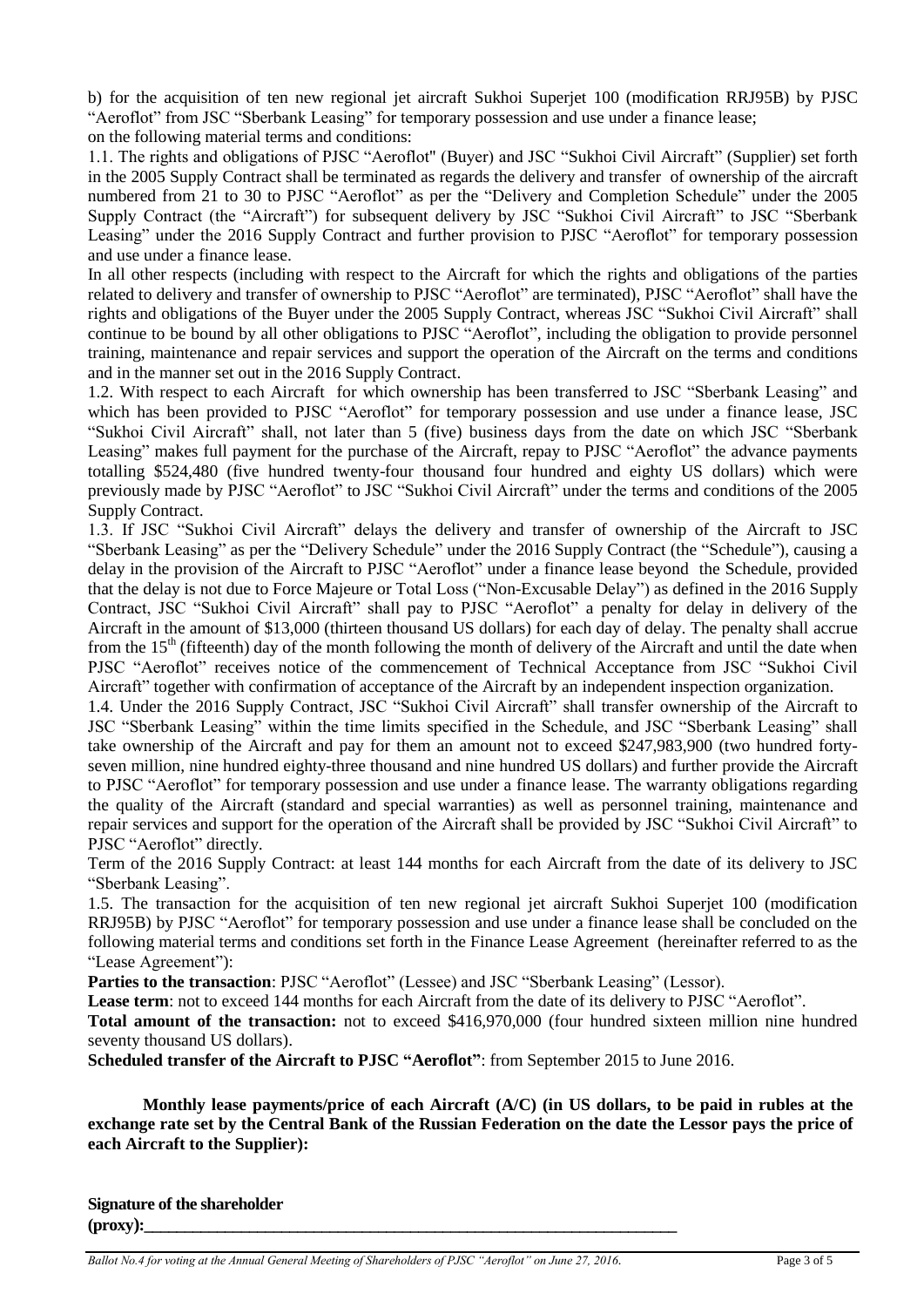b) for the acquisition of ten new regional jet aircraft Sukhoi Superjet 100 (modification RRJ95B) by PJSC "Aeroflot" from JSC "Sberbank Leasing" for temporary possession and use under a finance lease;

on the following material terms and conditions:

1.1. The rights and obligations of PJSC "Aeroflot" (Buyer) and JSC "Sukhoi Civil Aircraft" (Supplier) set forth in the 2005 Supply Contract shall be terminated as regards the delivery and transfer of ownership of the aircraft numbered from 21 to 30 to PJSC "Aeroflot" as per the "Delivery and Completion Schedule" under the 2005 Supply Contract (the "Aircraft") for subsequent delivery by JSC "Sukhoi Civil Aircraft" to JSC "Sberbank Leasing" under the 2016 Supply Contract and further provision to PJSC "Aeroflot" for temporary possession and use under a finance lease.

In all other respects (including with respect to the Aircraft for which the rights and obligations of the parties related to delivery and transfer of ownership to PJSC "Aeroflot" are terminated), PJSC "Aeroflot" shall have the rights and obligations of the Buyer under the 2005 Supply Contract, whereas JSC "Sukhoi Civil Aircraft" shall continue to be bound by all other obligations to PJSC "Aeroflot", including the obligation to provide personnel training, maintenance and repair services and support the operation of the Aircraft on the terms and conditions and in the manner set out in the 2016 Supply Contract.

1.2. With respect to each Aircraft for which ownership has been transferred to JSC "Sberbank Leasing" and which has been provided to PJSC "Aeroflot" for temporary possession and use under a finance lease, JSC "Sukhoi Civil Aircraft" shall, not later than 5 (five) business days from the date on which JSC "Sberbank Leasing" makes full payment for the purchase of the Aircraft, repay to PJSC "Aeroflot" the advance payments totalling \$524,480 (five hundred twenty-four thousand four hundred and eighty US dollars) which were previously made by PJSC "Aeroflot" to JSC "Sukhoi Civil Aircraft" under the terms and conditions of the 2005 Supply Contract.

1.3. If JSC "Sukhoi Civil Aircraft" delays the delivery and transfer of ownership of the Aircraft to JSC "Sberbank Leasing" as per the "Delivery Schedule" under the 2016 Supply Contract (the "Schedule"), causing a delay in the provision of the Aircraft to PJSC "Aeroflot" under a finance lease beyond the Schedule, provided that the delay is not due to Force Majeure or Total Loss ("Non-Excusable Delay") as defined in the 2016 Supply Contract, JSC "Sukhoi Civil Aircraft" shall pay to PJSC "Aeroflot" a penalty for delay in delivery of the Aircraft in the amount of \$13,000 (thirteen thousand US dollars) for each day of delay. The penalty shall accrue from the  $15<sup>th</sup>$  (fifteenth) day of the month following the month of delivery of the Aircraft and until the date when PJSC "Aeroflot" receives notice of the commencement of Technical Acceptance from JSC "Sukhoi Civil Aircraft" together with confirmation of acceptance of the Aircraft by an independent inspection organization.

1.4. Under the 2016 Supply Contract, JSC "Sukhoi Civil Aircraft" shall transfer ownership of the Aircraft to JSC "Sberbank Leasing" within the time limits specified in the Schedule, and JSC "Sberbank Leasing" shall take ownership of the Aircraft and pay for them an amount not to exceed \$247,983,900 (two hundred fortyseven million, nine hundred eighty-three thousand and nine hundred US dollars) and further provide the Aircraft to PJSC "Aeroflot" for temporary possession and use under a finance lease. The warranty obligations regarding the quality of the Aircraft (standard and special warranties) as well as personnel training, maintenance and repair services and support for the operation of the Aircraft shall be provided by JSC "Sukhoi Civil Aircraft" to PJSC "Aeroflot" directly.

Term of the 2016 Supply Contract: at least 144 months for each Aircraft from the date of its delivery to JSC "Sberbank Leasing".

1.5. The transaction for the acquisition of ten new regional jet aircraft Sukhoi Superjet 100 (modification RRJ95B) by PJSC "Aeroflot" for temporary possession and use under a finance lease shall be concluded on the following material terms and conditions set forth in the Finance Lease Agreement (hereinafter referred to as the "Lease Agreement"):

Parties to the transaction: PJSC "Aeroflot" (Lessee) and JSC "Sberbank Leasing" (Lessor).

Lease term: not to exceed 144 months for each Aircraft from the date of its delivery to PJSC "Aeroflot".

**Total amount of the transaction:** not to exceed \$416,970,000 (four hundred sixteen million nine hundred seventy thousand US dollars).

**Scheduled transfer of the Aircraft to PJSC "Aeroflot"**: from September 2015 to June 2016.

**Monthly lease payments/price of each Aircraft (A/C) (in US dollars, to be paid in rubles at the exchange rate set by the Central Bank of the Russian Federation on the date the Lessor pays the price of each Aircraft to the Supplier):**

**Signature of the shareholder (proxy):\_\_\_\_\_\_\_\_\_\_\_\_\_\_\_\_\_\_\_\_\_\_\_\_\_\_\_\_\_\_\_\_\_\_\_\_\_\_\_\_\_\_\_\_\_\_\_\_\_\_\_\_\_\_\_\_\_\_\_\_\_\_\_\_\_\_**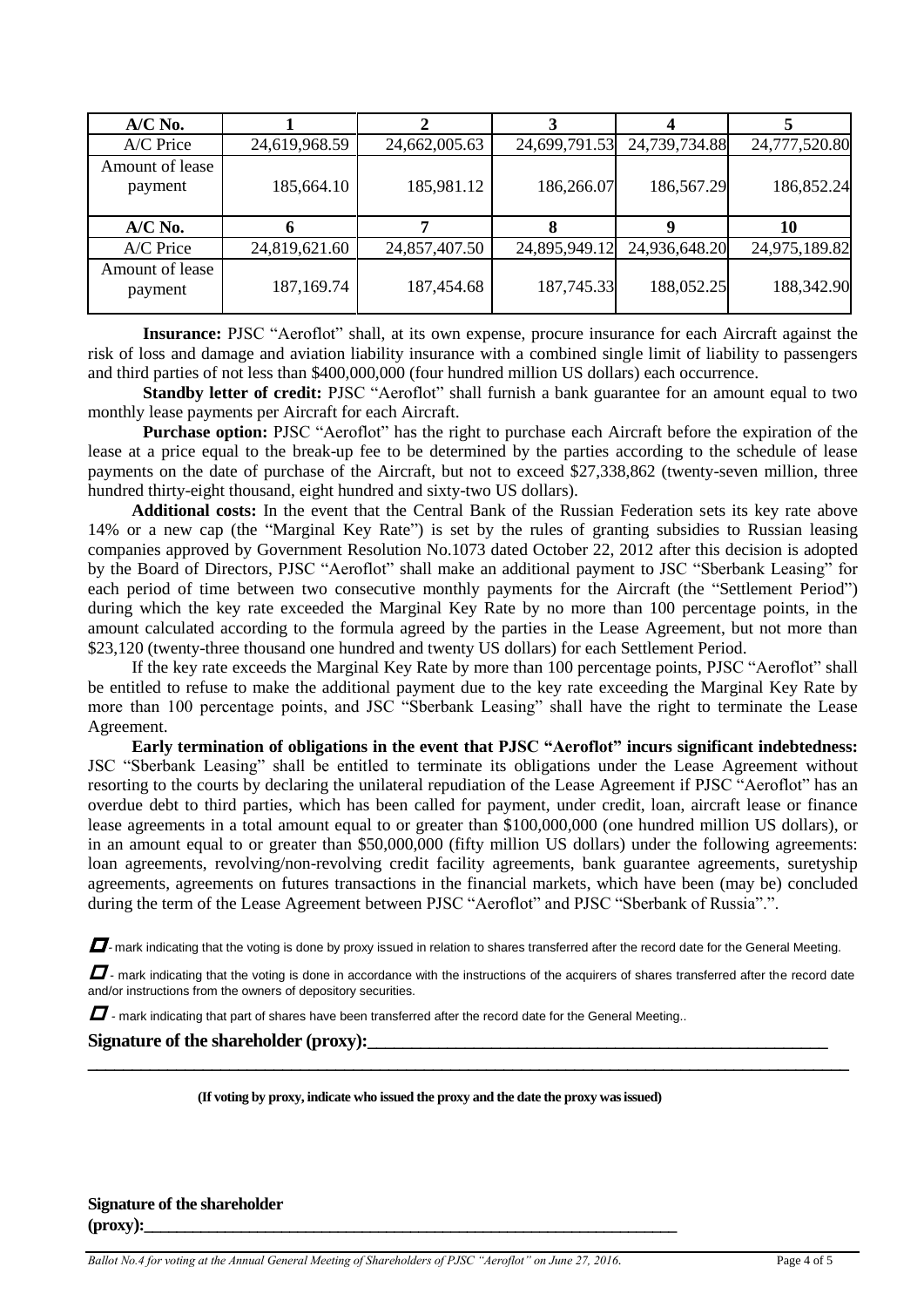| $A/C$ No.                  |               |               |               |               |               |
|----------------------------|---------------|---------------|---------------|---------------|---------------|
| A/C Price                  | 24,619,968.59 | 24,662,005.63 | 24,699,791.53 | 24,739,734.88 | 24,777,520.80 |
| Amount of lease<br>payment | 185,664.10    | 185,981.12    | 186,266.07    | 186,567.29    | 186,852.24    |
| $A/C$ No.                  |               |               |               |               | 10            |
| A/C Price                  | 24,819,621.60 | 24,857,407.50 | 24,895,949.12 | 24,936,648.20 | 24,975,189.82 |
| Amount of lease<br>payment | 187,169.74    | 187,454.68    | 187,745.33    | 188,052.25    | 188,342.90    |

**Insurance:** PJSC "Aeroflot" shall, at its own expense, procure insurance for each Aircraft against the risk of loss and damage and aviation liability insurance with a combined single limit of liability to passengers and third parties of not less than \$400,000,000 (four hundred million US dollars) each occurrence.

**Standby letter of credit:** PJSC "Aeroflot" shall furnish a bank guarantee for an amount equal to two monthly lease payments per Aircraft for each Aircraft.

**Purchase option:** PJSC "Aeroflot" has the right to purchase each Aircraft before the expiration of the lease at a price equal to the break-up fee to be determined by the parties according to the schedule of lease payments on the date of purchase of the Aircraft, but not to exceed \$27,338,862 (twenty-seven million, three hundred thirty-eight thousand, eight hundred and sixty-two US dollars).

**Additional costs:** In the event that the Central Bank of the Russian Federation sets its key rate above 14% or a new cap (the "Marginal Key Rate") is set by the rules of granting subsidies to Russian leasing companies approved by Government Resolution No.1073 dated October 22, 2012 after this decision is adopted by the Board of Directors, PJSC "Aeroflot" shall make an additional payment to JSC "Sberbank Leasing" for each period of time between two consecutive monthly payments for the Aircraft (the "Settlement Period") during which the key rate exceeded the Marginal Key Rate by no more than 100 percentage points, in the amount calculated according to the formula agreed by the parties in the Lease Agreement, but not more than \$23,120 (twenty-three thousand one hundred and twenty US dollars) for each Settlement Period.

If the key rate exceeds the Marginal Key Rate by more than 100 percentage points, PJSC "Aeroflot" shall be entitled to refuse to make the additional payment due to the key rate exceeding the Marginal Key Rate by more than 100 percentage points, and JSC "Sberbank Leasing" shall have the right to terminate the Lease Agreement.

**Early termination of obligations in the event that PJSC "Aeroflot" incurs significant indebtedness:** JSC "Sberbank Leasing" shall be entitled to terminate its obligations under the Lease Agreement without resorting to the courts by declaring the unilateral repudiation of the Lease Agreement if PJSC "Aeroflot" has an overdue debt to third parties, which has been called for payment, under credit, loan, aircraft lease or finance lease agreements in a total amount equal to or greater than \$100,000,000 (one hundred million US dollars), or in an amount equal to or greater than \$50,000,000 (fifty million US dollars) under the following agreements: loan agreements, revolving/non-revolving credit facility agreements, bank guarantee agreements, suretyship agreements, agreements on futures transactions in the financial markets, which have been (may be) concluded during the term of the Lease Agreement between PJSC "Aeroflot" and PJSC "Sberbank of Russia".".

 $\Box$ -mark indicating that the voting is done by proxy issued in relation to shares transferred after the record date for the General Meeting.

 $I$ - mark indicating that the voting is done in accordance with the instructions of the acquirers of shares transferred after the record date and/or instructions from the owners of depository securities.

**\_\_\_\_\_\_\_\_\_\_\_\_\_\_\_\_\_\_\_\_\_\_\_\_\_\_\_\_\_\_\_\_\_\_\_\_\_\_\_\_\_\_\_\_\_\_\_\_\_\_\_\_\_\_\_\_\_\_\_\_\_\_\_\_\_\_\_\_\_\_\_\_\_\_\_\_\_\_\_\_\_\_\_\_\_\_**

*-* mark indicating that part of shares have been transferred after the record date for the General Meeting..

#### Signature of the shareholder (proxy):

**(If voting by proxy, indicate who issued the proxy and the date the proxy was issued)**